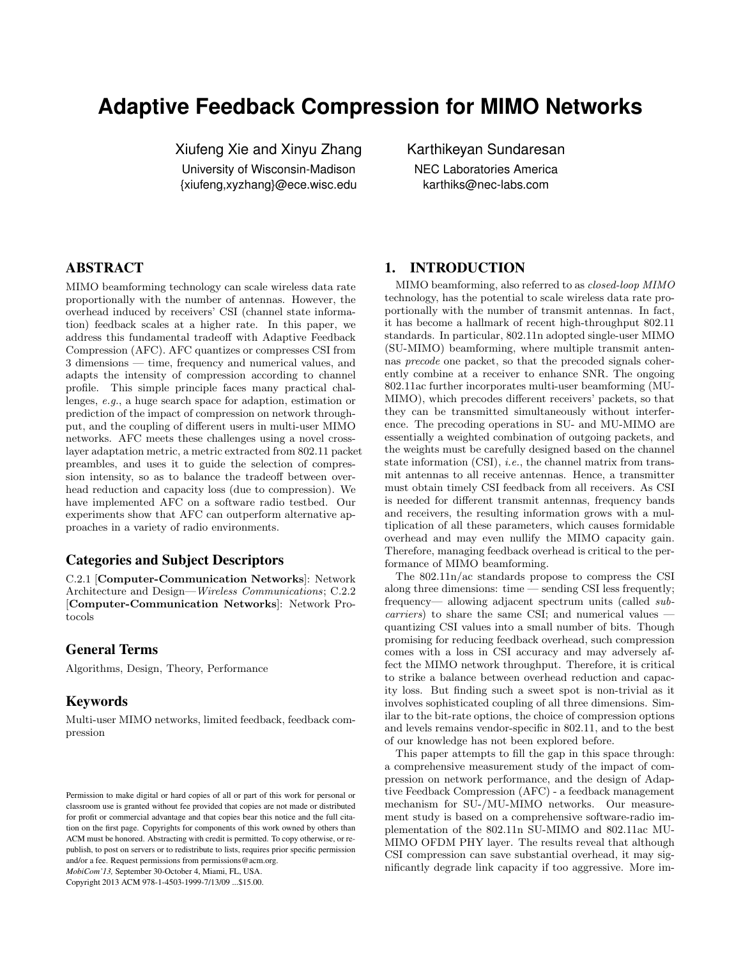# Adaptive Feedback Compression for MIMO Networks

Xiufeng Xie and Xinyu Zhang

University of Wisconsin-Madison {xiufeng,xyzhang}@ece.wisc.edu Karthikeyan Sundaresan NEC Laboratories America

karthiks@nec-labs.com

# ABSTRACT

MIMO beamforming technology can scale wireless data rate proportionally with the number of antennas. However, the overhead induced by receivers' CSI (channel state information) feedback scales at a higher rate. In this paper, we address this fundamental tradeoff with Adaptive Feedback Compression (AFC). AFC quantizes or compresses CSI from 3 dimensions — time, frequency and numerical values, and adapts the intensity of compression according to channel profile. This simple principle faces many practical challenges, e.g., a huge search space for adaption, estimation or prediction of the impact of compression on network throughput, and the coupling of different users in multi-user MIMO networks. AFC meets these challenges using a novel crosslayer adaptation metric, a metric extracted from 802.11 packet preambles, and uses it to guide the selection of compression intensity, so as to balance the tradeoff between overhead reduction and capacity loss (due to compression). We have implemented AFC on a software radio testbed. Our experiments show that AFC can outperform alternative approaches in a variety of radio environments.

# Categories and Subject Descriptors

C.2.1 [Computer-Communication Networks]: Network Architecture and Design—Wireless Communications; C.2.2 [Computer-Communication Networks]: Network Protocols

# General Terms

Algorithms, Design, Theory, Performance

# Keywords

Multi-user MIMO networks, limited feedback, feedback compression

MobiCom'13, September 30-October 4, Miami, FL, USA.

Copyright 2013 ACM 978-1-4503-1999-7/13/09 ...\$15.00.

## 1. INTRODUCTION

MIMO beamforming, also referred to as closed-loop MIMO technology, has the potential to scale wireless data rate proportionally with the number of transmit antennas. In fact, it has become a hallmark of recent high-throughput 802.11 standards. In particular, 802.11n adopted single-user MIMO (SU-MIMO) beamforming, where multiple transmit antennas precode one packet, so that the precoded signals coherently combine at a receiver to enhance SNR. The ongoing 802.11ac further incorporates multi-user beamforming (MU-MIMO), which precodes different receivers' packets, so that they can be transmitted simultaneously without interference. The precoding operations in SU- and MU-MIMO are essentially a weighted combination of outgoing packets, and the weights must be carefully designed based on the channel state information  $(CSI)$ , *i.e.*, the channel matrix from transmit antennas to all receive antennas. Hence, a transmitter must obtain timely CSI feedback from all receivers. As CSI is needed for different transmit antennas, frequency bands and receivers, the resulting information grows with a multiplication of all these parameters, which causes formidable overhead and may even nullify the MIMO capacity gain. Therefore, managing feedback overhead is critical to the performance of MIMO beamforming.

The 802.11n/ac standards propose to compress the CSI along three dimensions: time — sending CSI less frequently; frequency— allowing adjacent spectrum units (called subcarriers) to share the same CSI; and numerical values quantizing CSI values into a small number of bits. Though promising for reducing feedback overhead, such compression comes with a loss in CSI accuracy and may adversely affect the MIMO network throughput. Therefore, it is critical to strike a balance between overhead reduction and capacity loss. But finding such a sweet spot is non-trivial as it involves sophisticated coupling of all three dimensions. Similar to the bit-rate options, the choice of compression options and levels remains vendor-specific in 802.11, and to the best of our knowledge has not been explored before.

This paper attempts to fill the gap in this space through: a comprehensive measurement study of the impact of compression on network performance, and the design of Adaptive Feedback Compression (AFC) - a feedback management mechanism for SU-/MU-MIMO networks. Our measurement study is based on a comprehensive software-radio implementation of the 802.11n SU-MIMO and 802.11ac MU-MIMO OFDM PHY layer. The results reveal that although CSI compression can save substantial overhead, it may significantly degrade link capacity if too aggressive. More im-

Permission to make digital or hard copies of all or part of this work for personal or classroom use is granted without fee provided that copies are not made or distributed for profit or commercial advantage and that copies bear this notice and the full citation on the first page. Copyrights for components of this work owned by others than ACM must be honored. Abstracting with credit is permitted. To copy otherwise, or republish, to post on servers or to redistribute to lists, requires prior specific permission and/or a fee. Request permissions from permissions@acm.org.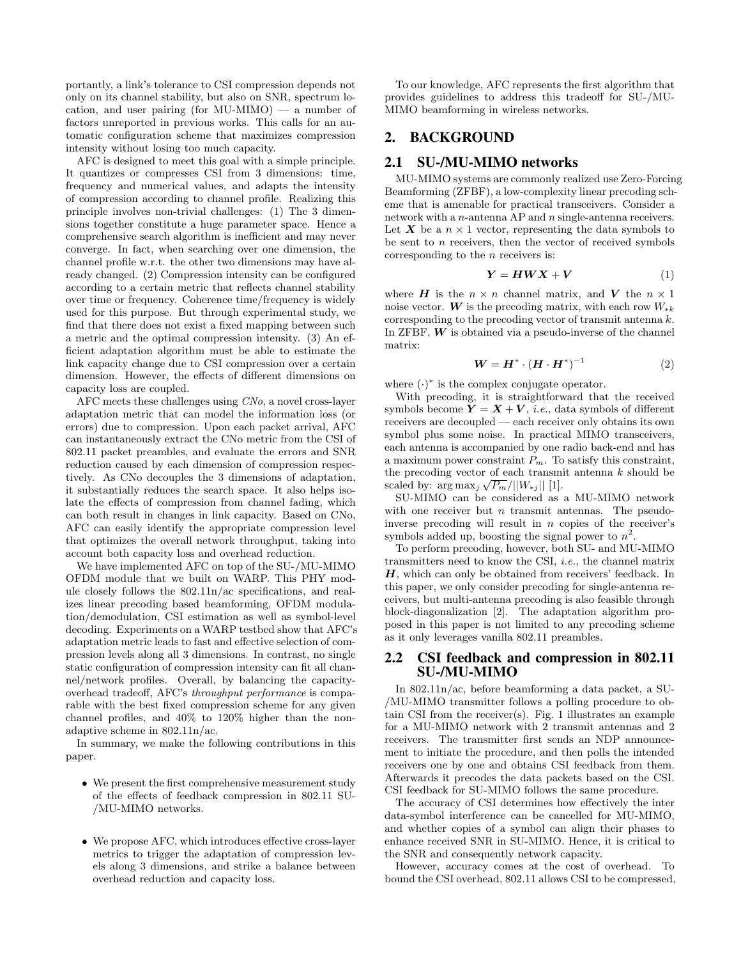portantly, a link's tolerance to CSI compression depends not only on its channel stability, but also on SNR, spectrum location, and user pairing (for MU-MIMO) — a number of factors unreported in previous works. This calls for an automatic configuration scheme that maximizes compression intensity without losing too much capacity.

AFC is designed to meet this goal with a simple principle. It quantizes or compresses CSI from 3 dimensions: time, frequency and numerical values, and adapts the intensity of compression according to channel profile. Realizing this principle involves non-trivial challenges: (1) The 3 dimensions together constitute a huge parameter space. Hence a comprehensive search algorithm is inefficient and may never converge. In fact, when searching over one dimension, the channel profile w.r.t. the other two dimensions may have already changed. (2) Compression intensity can be configured according to a certain metric that reflects channel stability over time or frequency. Coherence time/frequency is widely used for this purpose. But through experimental study, we find that there does not exist a fixed mapping between such a metric and the optimal compression intensity. (3) An efficient adaptation algorithm must be able to estimate the link capacity change due to CSI compression over a certain dimension. However, the effects of different dimensions on capacity loss are coupled.

AFC meets these challenges using CNo, a novel cross-layer adaptation metric that can model the information loss (or errors) due to compression. Upon each packet arrival, AFC can instantaneously extract the CNo metric from the CSI of 802.11 packet preambles, and evaluate the errors and SNR reduction caused by each dimension of compression respectively. As CNo decouples the 3 dimensions of adaptation, it substantially reduces the search space. It also helps isolate the effects of compression from channel fading, which can both result in changes in link capacity. Based on CNo, AFC can easily identify the appropriate compression level that optimizes the overall network throughput, taking into account both capacity loss and overhead reduction.

We have implemented AFC on top of the SU-/MU-MIMO OFDM module that we built on WARP. This PHY module closely follows the 802.11n/ac specifications, and realizes linear precoding based beamforming, OFDM modulation/demodulation, CSI estimation as well as symbol-level decoding. Experiments on a WARP testbed show that AFC's adaptation metric leads to fast and effective selection of compression levels along all 3 dimensions. In contrast, no single static configuration of compression intensity can fit all channel/network profiles. Overall, by balancing the capacityoverhead tradeoff, AFC's throughput performance is comparable with the best fixed compression scheme for any given channel profiles, and 40% to 120% higher than the nonadaptive scheme in 802.11n/ac.

In summary, we make the following contributions in this paper.

- We present the first comprehensive measurement study of the effects of feedback compression in 802.11 SU- /MU-MIMO networks.
- We propose AFC, which introduces effective cross-layer metrics to trigger the adaptation of compression levels along 3 dimensions, and strike a balance between overhead reduction and capacity loss.

To our knowledge, AFC represents the first algorithm that provides guidelines to address this tradeoff for SU-/MU-MIMO beamforming in wireless networks.

# 2. BACKGROUND

# 2.1 SU-/MU-MIMO networks

MU-MIMO systems are commonly realized use Zero-Forcing Beamforming (ZFBF), a low-complexity linear precoding scheme that is amenable for practical transceivers. Consider a network with a  $n$ -antenna AP and  $n$  single-antenna receivers. Let X be a  $n \times 1$  vector, representing the data symbols to be sent to  $n$  receivers, then the vector of received symbols corresponding to the n receivers is:

$$
Y = HWX + V \tag{1}
$$

where **H** is the  $n \times n$  channel matrix, and **V** the  $n \times 1$ noise vector. W is the precoding matrix, with each row  $W_{\ast k}$ corresponding to the precoding vector of transmit antenna k. In ZFBF,  $W$  is obtained via a pseudo-inverse of the channel matrix:

$$
\boldsymbol{W} = \boldsymbol{H}^* \cdot (\boldsymbol{H} \cdot \boldsymbol{H}^*)^{-1} \tag{2}
$$

where  $(\cdot)^*$  is the complex conjugate operator.

With precoding, it is straightforward that the received symbols become  $Y = X + V$ , *i.e.*, data symbols of different receivers are decoupled — each receiver only obtains its own symbol plus some noise. In practical MIMO transceivers, each antenna is accompanied by one radio back-end and has a maximum power constraint  $P_m$ . To satisfy this constraint, the precoding vector of each transmit antenna  $k$  should be scaled by:  $\arg \max_j \sqrt{P_m}/||W_{*j}||$  [1].

SU-MIMO can be considered as a MU-MIMO network with one receiver but  $n$  transmit antennas. The pseudoinverse precoding will result in n copies of the receiver's symbols added up, boosting the signal power to  $n^2$ .

To perform precoding, however, both SU- and MU-MIMO transmitters need to know the CSI, i.e., the channel matrix  $H$ , which can only be obtained from receivers' feedback. In this paper, we only consider precoding for single-antenna receivers, but multi-antenna precoding is also feasible through block-diagonalization [2]. The adaptation algorithm proposed in this paper is not limited to any precoding scheme as it only leverages vanilla 802.11 preambles.

## 2.2 CSI feedback and compression in 802.11 SU-/MU-MIMO

In 802.11n/ac, before beamforming a data packet, a SU- /MU-MIMO transmitter follows a polling procedure to obtain CSI from the receiver(s). Fig. 1 illustrates an example for a MU-MIMO network with 2 transmit antennas and 2 receivers. The transmitter first sends an NDP announcement to initiate the procedure, and then polls the intended receivers one by one and obtains CSI feedback from them. Afterwards it precodes the data packets based on the CSI. CSI feedback for SU-MIMO follows the same procedure.

The accuracy of CSI determines how effectively the inter data-symbol interference can be cancelled for MU-MIMO, and whether copies of a symbol can align their phases to enhance received SNR in SU-MIMO. Hence, it is critical to the SNR and consequently network capacity.

However, accuracy comes at the cost of overhead. To bound the CSI overhead, 802.11 allows CSI to be compressed,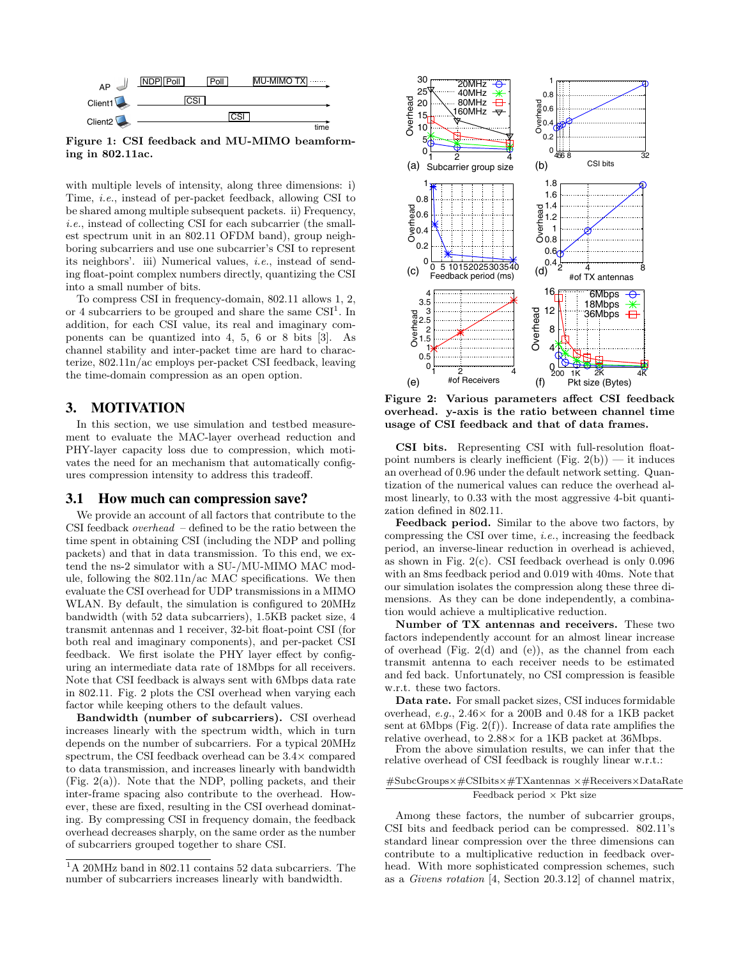

Figure 1: CSI feedback and MU-MIMO beamforming in 802.11ac.

with multiple levels of intensity, along three dimensions: i) Time, i.e., instead of per-packet feedback, allowing CSI to be shared among multiple subsequent packets. ii) Frequency, i.e., instead of collecting CSI for each subcarrier (the smallest spectrum unit in an 802.11 OFDM band), group neighboring subcarriers and use one subcarrier's CSI to represent its neighbors'. iii) Numerical values, i.e., instead of sending float-point complex numbers directly, quantizing the CSI into a small number of bits.

To compress CSI in frequency-domain, 802.11 allows 1, 2, or 4 subcarriers to be grouped and share the same  $CSI<sup>1</sup>$ . In addition, for each CSI value, its real and imaginary components can be quantized into 4, 5, 6 or 8 bits [3]. As channel stability and inter-packet time are hard to characterize, 802.11n/ac employs per-packet CSI feedback, leaving the time-domain compression as an open option.

## 3. MOTIVATION

In this section, we use simulation and testbed measurement to evaluate the MAC-layer overhead reduction and PHY-layer capacity loss due to compression, which motivates the need for an mechanism that automatically configures compression intensity to address this tradeoff.

## 3.1 How much can compression save?

We provide an account of all factors that contribute to the CSI feedback *overhead*  $-$  defined to be the ratio between the time spent in obtaining CSI (including the NDP and polling packets) and that in data transmission. To this end, we extend the ns-2 simulator with a SU-/MU-MIMO MAC module, following the 802.11n/ac MAC specifications. We then evaluate the CSI overhead for UDP transmissions in a MIMO WLAN. By default, the simulation is configured to 20MHz bandwidth (with 52 data subcarriers), 1.5KB packet size, 4 transmit antennas and 1 receiver, 32-bit float-point CSI (for both real and imaginary components), and per-packet CSI feedback. We first isolate the PHY layer effect by configuring an intermediate data rate of 18Mbps for all receivers. Note that CSI feedback is always sent with 6Mbps data rate in 802.11. Fig. 2 plots the CSI overhead when varying each factor while keeping others to the default values.

Bandwidth (number of subcarriers). CSI overhead increases linearly with the spectrum width, which in turn depends on the number of subcarriers. For a typical 20MHz spectrum, the CSI feedback overhead can be  $3.4\times$  compared to data transmission, and increases linearly with bandwidth (Fig. 2(a)). Note that the NDP, polling packets, and their inter-frame spacing also contribute to the overhead. However, these are fixed, resulting in the CSI overhead dominating. By compressing CSI in frequency domain, the feedback overhead decreases sharply, on the same order as the number of subcarriers grouped together to share CSI.



Figure 2: Various parameters affect CSI feedback overhead. y-axis is the ratio between channel time usage of CSI feedback and that of data frames.

CSI bits. Representing CSI with full-resolution floatpoint numbers is clearly inefficient  $(Fig. 2(b))$  — it induces an overhead of 0.96 under the default network setting. Quantization of the numerical values can reduce the overhead almost linearly, to 0.33 with the most aggressive 4-bit quantization defined in 802.11.

Feedback period. Similar to the above two factors, by compressing the CSI over time, i.e., increasing the feedback period, an inverse-linear reduction in overhead is achieved, as shown in Fig. 2(c). CSI feedback overhead is only 0.096 with an 8ms feedback period and 0.019 with 40ms. Note that our simulation isolates the compression along these three dimensions. As they can be done independently, a combination would achieve a multiplicative reduction.

Number of TX antennas and receivers. These two factors independently account for an almost linear increase of overhead (Fig. 2(d) and (e)), as the channel from each transmit antenna to each receiver needs to be estimated and fed back. Unfortunately, no CSI compression is feasible w.r.t. these two factors.

Data rate. For small packet sizes, CSI induces formidable overhead, e.g.,  $2.46 \times$  for a 200B and 0.48 for a 1KB packet sent at 6Mbps (Fig.  $2(f)$ ). Increase of data rate amplifies the relative overhead, to 2.88× for a 1KB packet at 36Mbps.

From the above simulation results, we can infer that the relative overhead of CSI feedback is roughly linear w.r.t.:

#### #SubcGroups×#CSIbits×#TXantennas ×#Receivers×DataRate Feedback period  $\times$  Pkt size

Among these factors, the number of subcarrier groups, CSI bits and feedback period can be compressed. 802.11's standard linear compression over the three dimensions can contribute to a multiplicative reduction in feedback overhead. With more sophisticated compression schemes, such as a Givens rotation [4, Section 20.3.12] of channel matrix,

<sup>1</sup>A 20MHz band in 802.11 contains 52 data subcarriers. The number of subcarriers increases linearly with bandwidth.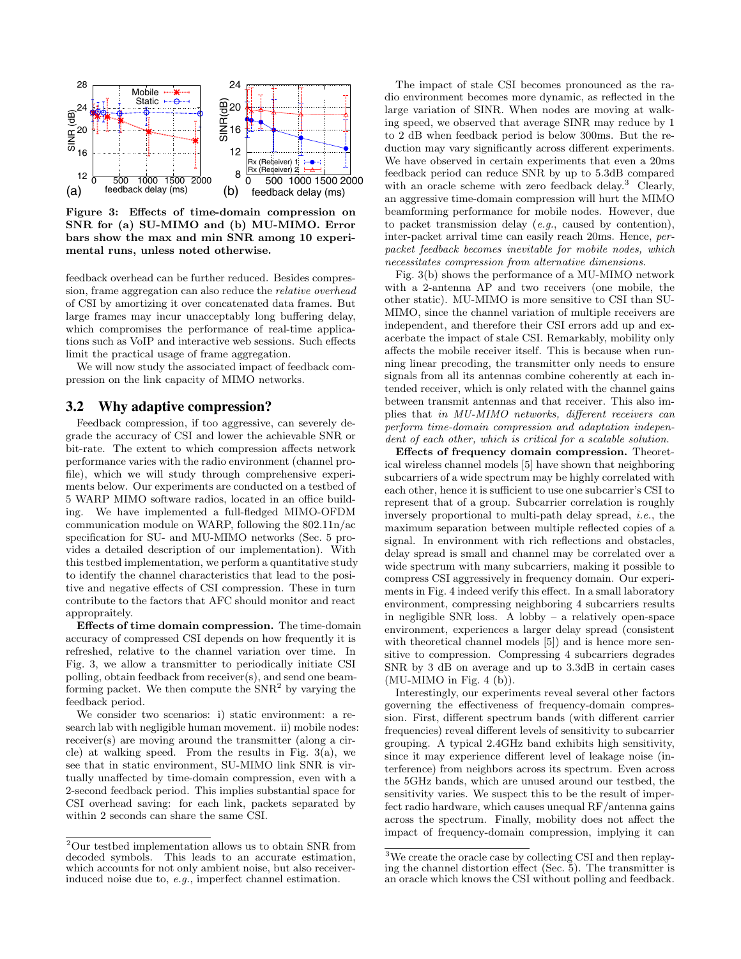

Figure 3: Effects of time-domain compression on SNR for (a) SU-MIMO and (b) MU-MIMO. Error bars show the max and min SNR among 10 experimental runs, unless noted otherwise.

feedback overhead can be further reduced. Besides compression, frame aggregation can also reduce the relative overhead of CSI by amortizing it over concatenated data frames. But large frames may incur unacceptably long buffering delay, which compromises the performance of real-time applications such as VoIP and interactive web sessions. Such effects limit the practical usage of frame aggregation.

We will now study the associated impact of feedback compression on the link capacity of MIMO networks.

# 3.2 Why adaptive compression?

Feedback compression, if too aggressive, can severely degrade the accuracy of CSI and lower the achievable SNR or bit-rate. The extent to which compression affects network performance varies with the radio environment (channel profile), which we will study through comprehensive experiments below. Our experiments are conducted on a testbed of 5 WARP MIMO software radios, located in an office building. We have implemented a full-fledged MIMO-OFDM communication module on WARP, following the 802.11n/ac specification for SU- and MU-MIMO networks (Sec. 5 provides a detailed description of our implementation). With this testbed implementation, we perform a quantitative study to identify the channel characteristics that lead to the positive and negative effects of CSI compression. These in turn contribute to the factors that AFC should monitor and react appropraitely.

Effects of time domain compression. The time-domain accuracy of compressed CSI depends on how frequently it is refreshed, relative to the channel variation over time. In Fig. 3, we allow a transmitter to periodically initiate CSI polling, obtain feedback from receiver(s), and send one beamforming packet. We then compute the  $SNR<sup>2</sup>$  by varying the feedback period.

We consider two scenarios: i) static environment: a research lab with negligible human movement. ii) mobile nodes: receiver(s) are moving around the transmitter (along a circle) at walking speed. From the results in Fig. 3(a), we see that in static environment, SU-MIMO link SNR is virtually unaffected by time-domain compression, even with a 2-second feedback period. This implies substantial space for CSI overhead saving: for each link, packets separated by within 2 seconds can share the same CSI.

The impact of stale CSI becomes pronounced as the radio environment becomes more dynamic, as reflected in the large variation of SINR. When nodes are moving at walking speed, we observed that average SINR may reduce by 1 to 2 dB when feedback period is below 300ms. But the reduction may vary significantly across different experiments. We have observed in certain experiments that even a 20ms feedback period can reduce SNR by up to 5.3dB compared with an oracle scheme with zero feedback delay.<sup>3</sup> Clearly, an aggressive time-domain compression will hurt the MIMO beamforming performance for mobile nodes. However, due to packet transmission delay (e.g., caused by contention), inter-packet arrival time can easily reach 20ms. Hence, perpacket feedback becomes inevitable for mobile nodes, which necessitates compression from alternative dimensions.

Fig. 3(b) shows the performance of a MU-MIMO network with a 2-antenna AP and two receivers (one mobile, the other static). MU-MIMO is more sensitive to CSI than SU-MIMO, since the channel variation of multiple receivers are independent, and therefore their CSI errors add up and exacerbate the impact of stale CSI. Remarkably, mobility only affects the mobile receiver itself. This is because when running linear precoding, the transmitter only needs to ensure signals from all its antennas combine coherently at each intended receiver, which is only related with the channel gains between transmit antennas and that receiver. This also implies that in MU-MIMO networks, different receivers can perform time-domain compression and adaptation independent of each other, which is critical for a scalable solution.

Effects of frequency domain compression. Theoretical wireless channel models [5] have shown that neighboring subcarriers of a wide spectrum may be highly correlated with each other, hence it is sufficient to use one subcarrier's CSI to represent that of a group. Subcarrier correlation is roughly inversely proportional to multi-path delay spread, i.e., the maximum separation between multiple reflected copies of a signal. In environment with rich reflections and obstacles, delay spread is small and channel may be correlated over a wide spectrum with many subcarriers, making it possible to compress CSI aggressively in frequency domain. Our experiments in Fig. 4 indeed verify this effect. In a small laboratory environment, compressing neighboring 4 subcarriers results in negligible SNR loss. A lobby – a relatively open-space environment, experiences a larger delay spread (consistent with theoretical channel models [5]) and is hence more sensitive to compression. Compressing 4 subcarriers degrades SNR by 3 dB on average and up to 3.3dB in certain cases  $(MU-MIMO$  in Fig. 4 (b)).

Interestingly, our experiments reveal several other factors governing the effectiveness of frequency-domain compression. First, different spectrum bands (with different carrier frequencies) reveal different levels of sensitivity to subcarrier grouping. A typical 2.4GHz band exhibits high sensitivity, since it may experience different level of leakage noise (interference) from neighbors across its spectrum. Even across the 5GHz bands, which are unused around our testbed, the sensitivity varies. We suspect this to be the result of imperfect radio hardware, which causes unequal RF/antenna gains across the spectrum. Finally, mobility does not affect the impact of frequency-domain compression, implying it can

 $2$ Our testbed implementation allows us to obtain SNR from decoded symbols. This leads to an accurate estimation, which accounts for not only ambient noise, but also receiverinduced noise due to, e.g., imperfect channel estimation.

<sup>3</sup>We create the oracle case by collecting CSI and then replaying the channel distortion effect (Sec.  $\tilde{5}$ ). The transmitter is an oracle which knows the CSI without polling and feedback.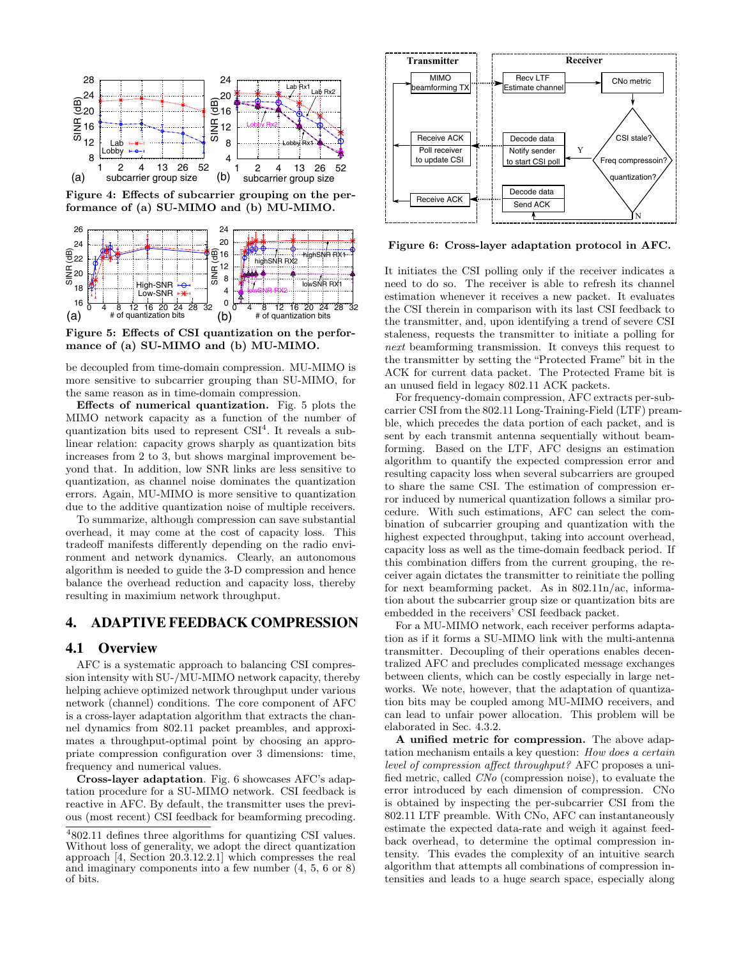

Figure 4: Effects of subcarrier grouping on the performance of (a) SU-MIMO and (b) MU-MIMO.



Figure 5: Effects of CSI quantization on the performance of (a) SU-MIMO and (b) MU-MIMO.

be decoupled from time-domain compression. MU-MIMO is more sensitive to subcarrier grouping than SU-MIMO, for the same reason as in time-domain compression.

Effects of numerical quantization. Fig. 5 plots the MIMO network capacity as a function of the number of quantization bits used to represent  $\text{CSI}^4$ . It reveals a sublinear relation: capacity grows sharply as quantization bits increases from 2 to 3, but shows marginal improvement beyond that. In addition, low SNR links are less sensitive to quantization, as channel noise dominates the quantization errors. Again, MU-MIMO is more sensitive to quantization due to the additive quantization noise of multiple receivers.

To summarize, although compression can save substantial overhead, it may come at the cost of capacity loss. This tradeoff manifests differently depending on the radio environment and network dynamics. Clearly, an autonomous algorithm is needed to guide the 3-D compression and hence balance the overhead reduction and capacity loss, thereby resulting in maximium network throughput.

## 4. ADAPTIVE FEEDBACK COMPRESSION

### 4.1 Overview

AFC is a systematic approach to balancing CSI compression intensity with SU-/MU-MIMO network capacity, thereby helping achieve optimized network throughput under various network (channel) conditions. The core component of AFC is a cross-layer adaptation algorithm that extracts the channel dynamics from 802.11 packet preambles, and approximates a throughput-optimal point by choosing an appropriate compression configuration over 3 dimensions: time, frequency and numerical values.

Cross-layer adaptation. Fig. 6 showcases AFC's adaptation procedure for a SU-MIMO network. CSI feedback is reactive in AFC. By default, the transmitter uses the previous (most recent) CSI feedback for beamforming precoding.



Figure 6: Cross-layer adaptation protocol in AFC.

It initiates the CSI polling only if the receiver indicates a need to do so. The receiver is able to refresh its channel estimation whenever it receives a new packet. It evaluates the CSI therein in comparison with its last CSI feedback to the transmitter, and, upon identifying a trend of severe CSI staleness, requests the transmitter to initiate a polling for next beamforming transmission. It conveys this request to the transmitter by setting the "Protected Frame" bit in the ACK for current data packet. The Protected Frame bit is an unused field in legacy 802.11 ACK packets.

For frequency-domain compression, AFC extracts per-subcarrier CSI from the 802.11 Long-Training-Field (LTF) preamble, which precedes the data portion of each packet, and is sent by each transmit antenna sequentially without beamforming. Based on the LTF, AFC designs an estimation algorithm to quantify the expected compression error and resulting capacity loss when several subcarriers are grouped to share the same CSI. The estimation of compression error induced by numerical quantization follows a similar procedure. With such estimations, AFC can select the combination of subcarrier grouping and quantization with the highest expected throughput, taking into account overhead, capacity loss as well as the time-domain feedback period. If this combination differs from the current grouping, the receiver again dictates the transmitter to reinitiate the polling for next beamforming packet. As in 802.11n/ac, information about the subcarrier group size or quantization bits are embedded in the receivers' CSI feedback packet.

For a MU-MIMO network, each receiver performs adaptation as if it forms a SU-MIMO link with the multi-antenna transmitter. Decoupling of their operations enables decentralized AFC and precludes complicated message exchanges between clients, which can be costly especially in large networks. We note, however, that the adaptation of quantization bits may be coupled among MU-MIMO receivers, and can lead to unfair power allocation. This problem will be elaborated in Sec. 4.3.2.

A unified metric for compression. The above adaptation mechanism entails a key question: How does a certain level of compression affect throughput? AFC proposes a unified metric, called CNo (compression noise), to evaluate the error introduced by each dimension of compression. CNo is obtained by inspecting the per-subcarrier CSI from the 802.11 LTF preamble. With CNo, AFC can instantaneously estimate the expected data-rate and weigh it against feedback overhead, to determine the optimal compression intensity. This evades the complexity of an intuitive search algorithm that attempts all combinations of compression intensities and leads to a huge search space, especially along

<sup>4802.11</sup> defines three algorithms for quantizing CSI values. Without loss of generality, we adopt the direct quantization approach [4, Section 20.3.12.2.1] which compresses the real and imaginary components into a few number (4, 5, 6 or 8) of bits.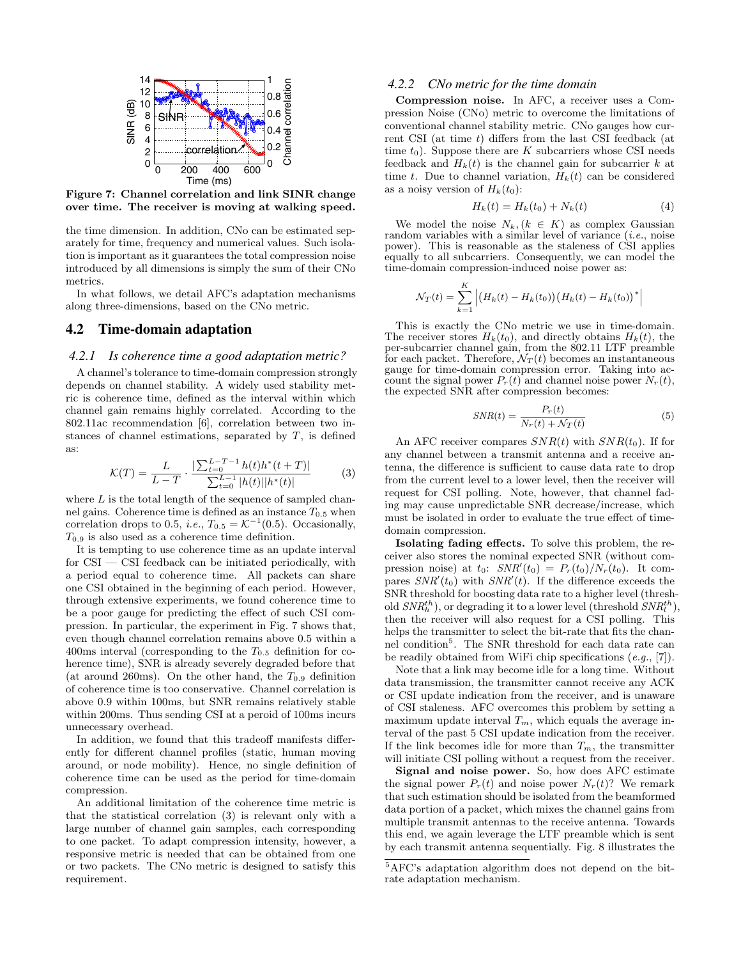

Figure 7: Channel correlation and link SINR change over time. The receiver is moving at walking speed.

the time dimension. In addition, CNo can be estimated separately for time, frequency and numerical values. Such isolation is important as it guarantees the total compression noise introduced by all dimensions is simply the sum of their CNo metrics.

In what follows, we detail AFC's adaptation mechanisms along three-dimensions, based on the CNo metric.

# 4.2 Time-domain adaptation

#### 4.2.1 Is coherence time a good adaptation metric?

A channel's tolerance to time-domain compression strongly depends on channel stability. A widely used stability metric is coherence time, defined as the interval within which channel gain remains highly correlated. According to the 802.11ac recommendation [6], correlation between two instances of channel estimations, separated by  $T$ , is defined as:

$$
\mathcal{K}(T) = \frac{L}{L - T} \cdot \frac{\left| \sum_{t=0}^{L - T - 1} h(t) h^*(t + T) \right|}{\sum_{t=0}^{L - 1} |h(t)| |h^*(t)|} \tag{3}
$$

where  $L$  is the total length of the sequence of sampled channel gains. Coherence time is defined as an instance  $T_{0.5}$  when correlation drops to 0.5, *i.e.*,  $T_{0.5} = \mathcal{K}^{-1}(0.5)$ . Occasionally,  $T_{0.9}$  is also used as a coherence time definition.

It is tempting to use coherence time as an update interval for  $\text{CSI} - \text{CSI}$  feedback can be initiated periodically, with a period equal to coherence time. All packets can share one CSI obtained in the beginning of each period. However, through extensive experiments, we found coherence time to be a poor gauge for predicting the effect of such CSI compression. In particular, the experiment in Fig. 7 shows that, even though channel correlation remains above 0.5 within a 400ms interval (corresponding to the  $T_{0.5}$  definition for coherence time), SNR is already severely degraded before that (at around 260ms). On the other hand, the  $T_{0.9}$  definition of coherence time is too conservative. Channel correlation is above 0.9 within 100ms, but SNR remains relatively stable within 200ms. Thus sending CSI at a peroid of 100ms incurs unnecessary overhead.

In addition, we found that this tradeoff manifests differently for different channel profiles (static, human moving around, or node mobility). Hence, no single definition of coherence time can be used as the period for time-domain compression.

An additional limitation of the coherence time metric is that the statistical correlation (3) is relevant only with a large number of channel gain samples, each corresponding to one packet. To adapt compression intensity, however, a responsive metric is needed that can be obtained from one or two packets. The CNo metric is designed to satisfy this requirement.

#### 4.2.2 CNo metric for the time domain

Compression noise. In AFC, a receiver uses a Compression Noise (CNo) metric to overcome the limitations of conventional channel stability metric. CNo gauges how current CSI (at time t) differs from the last CSI feedback (at time  $t_0$ ). Suppose there are K subcarriers whose CSI needs feedback and  $H_k(t)$  is the channel gain for subcarrier k at time t. Due to channel variation,  $H_k(t)$  can be considered as a noisy version of  $H_k(t_0)$ :

$$
H_k(t) = H_k(t_0) + N_k(t)
$$
 (4)

We model the noise  $N_k$ ,  $(k \in K)$  as complex Gaussian random variables with a similar level of variance  $(i.e.,$  noise power). This is reasonable as the staleness of CSI applies equally to all subcarriers. Consequently, we can model the time-domain compression-induced noise power as:

$$
\mathcal{N}_T(t) = \sum_{k=1}^K \left| \left( H_k(t) - H_k(t_0) \right) \left( H_k(t) - H_k(t_0) \right)^* \right|
$$

This is exactly the CNo metric we use in time-domain. The receiver stores  $H_k(t_0)$ , and directly obtains  $H_k(t)$ , the per-subcarrier channel gain, from the 802.11 LTF preamble for each packet. Therefore,  $\mathcal{N}_T(t)$  becomes an instantaneous gauge for time-domain compression error. Taking into account the signal power  $P_r(t)$  and channel noise power  $N_r(t)$ , the expected SNR after compression becomes:

$$
SNR(t) = \frac{P_r(t)}{N_r(t) + \mathcal{N}_T(t)}\tag{5}
$$

An AFC receiver compares  $SNR(t)$  with  $SNR(t_0)$ . If for any channel between a transmit antenna and a receive antenna, the difference is sufficient to cause data rate to drop from the current level to a lower level, then the receiver will request for CSI polling. Note, however, that channel fading may cause unpredictable SNR decrease/increase, which must be isolated in order to evaluate the true effect of timedomain compression.

Isolating fading effects. To solve this problem, the receiver also stores the nominal expected SNR (without compression noise) at  $t_0$ :  $SNR'(t_0) = P_r(t_0)/N_r(t_0)$ . It compares  $SNR'(t_0)$  with  $SNR'(t)$ . If the difference exceeds the SNR threshold for boosting data rate to a higher level (threshold  $SNR_h^{th}$ ), or degrading it to a lower level (threshold  $SNR_l^{th}$ ), then the receiver will also request for a CSI polling. This helps the transmitter to select the bit-rate that fits the channel condition<sup>5</sup>. The SNR threshold for each data rate can be readily obtained from WiFi chip specifications  $(e.g., [7])$ .

Note that a link may become idle for a long time. Without data transmission, the transmitter cannot receive any ACK or CSI update indication from the receiver, and is unaware of CSI staleness. AFC overcomes this problem by setting a maximum update interval  $T_m$ , which equals the average interval of the past 5 CSI update indication from the receiver. If the link becomes idle for more than  $T_m$ , the transmitter will initiate CSI polling without a request from the receiver.

Signal and noise power. So, how does AFC estimate the signal power  $P_r(t)$  and noise power  $N_r(t)$ ? We remark that such estimation should be isolated from the beamformed data portion of a packet, which mixes the channel gains from multiple transmit antennas to the receive antenna. Towards this end, we again leverage the LTF preamble which is sent by each transmit antenna sequentially. Fig. 8 illustrates the

<sup>5</sup>AFC's adaptation algorithm does not depend on the bitrate adaptation mechanism.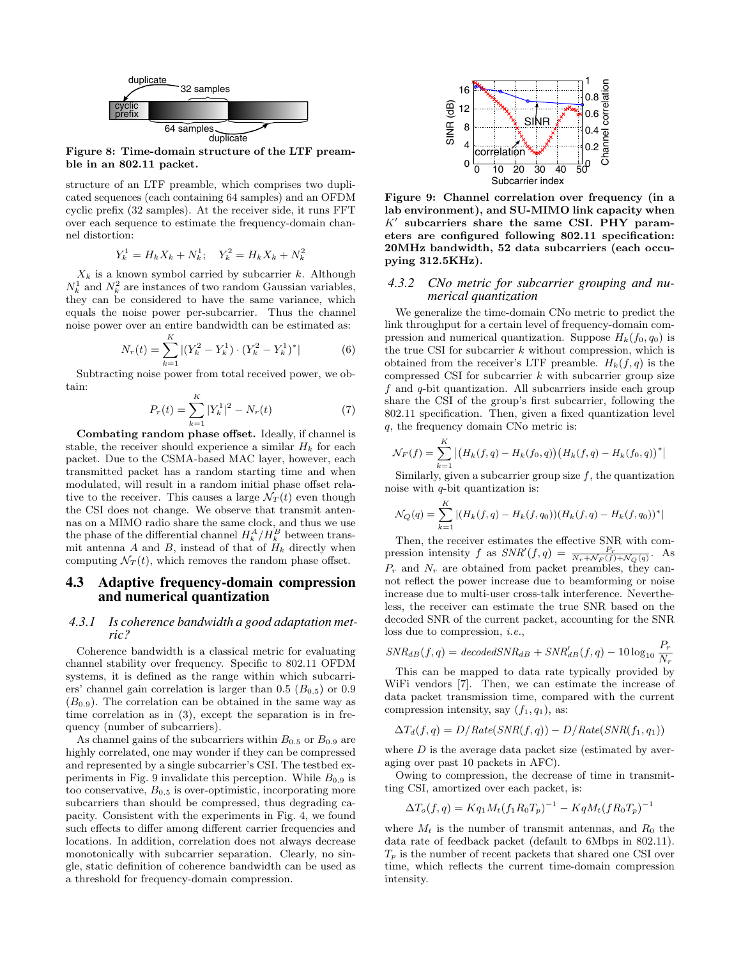

Figure 8: Time-domain structure of the LTF preamble in an 802.11 packet.

structure of an LTF preamble, which comprises two duplicated sequences (each containing 64 samples) and an OFDM cyclic prefix (32 samples). At the receiver side, it runs FFT over each sequence to estimate the frequency-domain channel distortion:

$$
Y_k^1 = H_k X_k + N_k^1; \quad Y_k^2 = H_k X_k + N_k^2
$$

 $X_k$  is a known symbol carried by subcarrier k. Although  $N_k^1$  and  $N_k^2$  are instances of two random Gaussian variables, they can be considered to have the same variance, which equals the noise power per-subcarrier. Thus the channel noise power over an entire bandwidth can be estimated as:

$$
N_r(t) = \sum_{k=1}^{K} |(Y_k^2 - Y_k^1) \cdot (Y_k^2 - Y_k^1)^*| \tag{6}
$$

Subtracting noise power from total received power, we obtain:

$$
P_r(t) = \sum_{k=1}^{K} |Y_k^1|^2 - N_r(t)
$$
\n(7)

Combating random phase offset. Ideally, if channel is stable, the receiver should experience a similar  $H_k$  for each packet. Due to the CSMA-based MAC layer, however, each transmitted packet has a random starting time and when modulated, will result in a random initial phase offset relative to the receiver. This causes a large  $\mathcal{N}_T(t)$  even though the CSI does not change. We observe that transmit antennas on a MIMO radio share the same clock, and thus we use the phase of the differential channel  $H_k^A/H_k^B$  between transmit antenna A and B, instead of that of  $H_k$  directly when computing  $\mathcal{N}_T(t)$ , which removes the random phase offset.

## 4.3 Adaptive frequency-domain compression and numerical quantization

#### 4.3.1 Is coherence bandwidth a good adaptation metric?

Coherence bandwidth is a classical metric for evaluating channel stability over frequency. Specific to 802.11 OFDM systems, it is defined as the range within which subcarriers' channel gain correlation is larger than  $0.5$  ( $B_{0.5}$ ) or  $0.9$  $(B_{0.9})$ . The correlation can be obtained in the same way as time correlation as in (3), except the separation is in frequency (number of subcarriers).

As channel gains of the subcarriers within  $B_{0.5}$  or  $B_{0.9}$  are highly correlated, one may wonder if they can be compressed and represented by a single subcarrier's CSI. The testbed experiments in Fig. 9 invalidate this perception. While  $B_{0.9}$  is too conservative,  $B_{0.5}$  is over-optimistic, incorporating more subcarriers than should be compressed, thus degrading capacity. Consistent with the experiments in Fig. 4, we found such effects to differ among different carrier frequencies and locations. In addition, correlation does not always decrease monotonically with subcarrier separation. Clearly, no single, static definition of coherence bandwidth can be used as a threshold for frequency-domain compression.



Figure 9: Channel correlation over frequency (in a lab environment), and SU-MIMO link capacity when  $K'$  subcarriers share the same CSI. PHY parameters are configured following 802.11 specification: 20MHz bandwidth, 52 data subcarriers (each occupying 312.5KHz).

#### 4.3.2 CNo metric for subcarrier grouping and numerical quantization

We generalize the time-domain CNo metric to predict the link throughput for a certain level of frequency-domain compression and numerical quantization. Suppose  $H_k(f_0, q_0)$  is the true CSI for subcarrier  $k$  without compression, which is obtained from the receiver's LTF preamble.  $H_k(f, q)$  is the compressed CSI for subcarrier  $k$  with subcarrier group size  $f$  and  $q$ -bit quantization. All subcarriers inside each group share the CSI of the group's first subcarrier, following the 802.11 specification. Then, given a fixed quantization level q, the frequency domain CNo metric is:

$$
\mathcal{N}_F(f) = \sum_{k=1}^K \left| \left( H_k(f, q) - H_k(f_0, q) \right) \left( H_k(f, q) - H_k(f_0, q) \right)^* \right|
$$

Similarly, given a subcarrier group size  $f$ , the quantization noise with  $q$ -bit quantization is:

$$
\mathcal{N}_Q(q) = \sum_{k=1}^K |(H_k(f,q) - H_k(f,q_0))(H_k(f,q) - H_k(f,q_0))^*|
$$

Then, the receiver estimates the effective SNR with compression intensity f as  $SNR'(f,q) = \frac{P_r}{N_r + N_F(f) + N_Q(q)}$ . As  $P_r$  and  $N_r$  are obtained from packet preambles, they cannot reflect the power increase due to beamforming or noise increase due to multi-user cross-talk interference. Nevertheless, the receiver can estimate the true SNR based on the decoded SNR of the current packet, accounting for the SNR loss due to compression, i.e.,

$$
SNR_{dB}(f,q) = decodedSNR_{dB} + SNR_{dB}'(f,q) - 10 \log_{10} \frac{P_r}{N_r}
$$

This can be mapped to data rate typically provided by WiFi vendors [7]. Then, we can estimate the increase of data packet transmission time, compared with the current compression intensity, say  $(f_1, q_1)$ , as:

$$
\Delta T_d(f,q) = D/Rate(SNR(f,q)) - D/Rate(SNR(f_1,q_1))
$$

where  $D$  is the average data packet size (estimated by averaging over past 10 packets in AFC).

Owing to compression, the decrease of time in transmitting CSI, amortized over each packet, is:

$$
\Delta T_o(f,q) = K q_1 M_t (f_1 R_0 T_p)^{-1} - K q M_t (f R_0 T_p)^{-1}
$$

where  $M_t$  is the number of transmit antennas, and  $R_0$  the data rate of feedback packet (default to 6Mbps in 802.11).  $T_p$  is the number of recent packets that shared one CSI over time, which reflects the current time-domain compression intensity.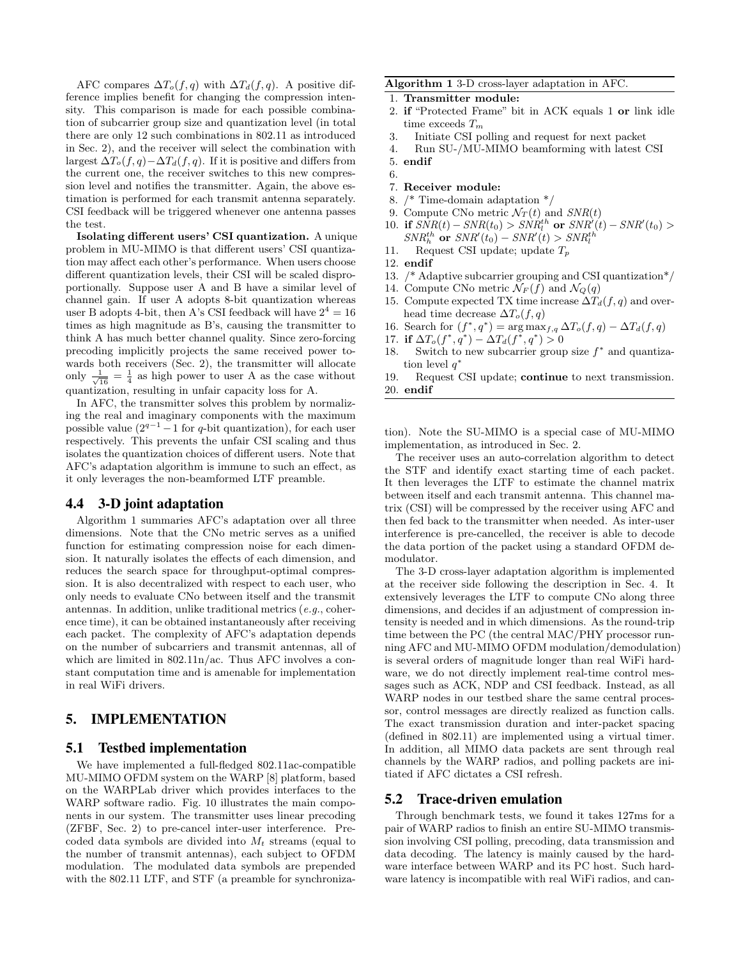AFC compares  $\Delta T_o(f,q)$  with  $\Delta T_a(f,q)$ . A positive difference implies benefit for changing the compression intensity. This comparison is made for each possible combination of subcarrier group size and quantization level (in total there are only 12 such combinations in 802.11 as introduced in Sec. 2), and the receiver will select the combination with largest  $\Delta T_o(f, q) - \Delta T_d(f, q)$ . If it is positive and differs from the current one, the receiver switches to this new compression level and notifies the transmitter. Again, the above estimation is performed for each transmit antenna separately. CSI feedback will be triggered whenever one antenna passes the test.

Isolating different users' CSI quantization. A unique problem in MU-MIMO is that different users' CSI quantization may affect each other's performance. When users choose different quantization levels, their CSI will be scaled disproportionally. Suppose user A and B have a similar level of channel gain. If user A adopts 8-bit quantization whereas user B adopts 4-bit, then A's CSI feedback will have  $2^4 = 16$ times as high magnitude as B's, causing the transmitter to think A has much better channel quality. Since zero-forcing precoding implicitly projects the same received power towards both receivers (Sec. 2), the transmitter will allocate only  $\frac{1}{\sqrt{16}} = \frac{1}{4}$  as high power to user A as the case without quantization, resulting in unfair capacity loss for A.

In AFC, the transmitter solves this problem by normalizing the real and imaginary components with the maximum possible value  $(2^{q-1}-1$  for q-bit quantization), for each user respectively. This prevents the unfair CSI scaling and thus isolates the quantization choices of different users. Note that AFC's adaptation algorithm is immune to such an effect, as it only leverages the non-beamformed LTF preamble.

## 4.4 3-D joint adaptation

Algorithm 1 summaries AFC's adaptation over all three dimensions. Note that the CNo metric serves as a unified function for estimating compression noise for each dimension. It naturally isolates the effects of each dimension, and reduces the search space for throughput-optimal compression. It is also decentralized with respect to each user, who only needs to evaluate CNo between itself and the transmit antennas. In addition, unlike traditional metrics (e.g., coherence time), it can be obtained instantaneously after receiving each packet. The complexity of AFC's adaptation depends on the number of subcarriers and transmit antennas, all of which are limited in 802.11n/ac. Thus AFC involves a constant computation time and is amenable for implementation in real WiFi drivers.

# 5. IMPLEMENTATION

#### 5.1 Testbed implementation

We have implemented a full-fledged 802.11ac-compatible MU-MIMO OFDM system on the WARP [8] platform, based on the WARPLab driver which provides interfaces to the WARP software radio. Fig. 10 illustrates the main components in our system. The transmitter uses linear precoding (ZFBF, Sec. 2) to pre-cancel inter-user interference. Precoded data symbols are divided into  $M_t$  streams (equal to the number of transmit antennas), each subject to OFDM modulation. The modulated data symbols are prepended with the 802.11 LTF, and STF (a preamble for synchroniza-

#### Algorithm 1 3-D cross-layer adaptation in AFC.

- 1. Transmitter module:
- 2. if "Protected Frame" bit in ACK equals 1 or link idle time exceeds  $T_m$
- 3. Initiate CSI polling and request for next packet
- 4. Run SU-/MU-MIMO beamforming with latest CSI
- 5. endif
- 6.
- 7. Receiver module:
- 8. /\* Time-domain adaptation \*/
- 9. Compute CNo metric  $\mathcal{N}_T(t)$  and  $SNR(t)$
- 10. if  $SNR(t) SNR(t_0) > SNR_t^{th}$  or  $SNR'(t) SNR'(t_0) >$  $SNR_h^{th}$  or  $SNR'(t_0) - SNR'(t) > SNR_l^{th}$
- 11. Request CSI update; update  $T_p$
- 12. endif
- 13. /\* Adaptive subcarrier grouping and CSI quantization\*/
- 14. Compute CNo metric  $\mathcal{N}_F(f)$  and  $\mathcal{N}_Q(q)$
- 15. Compute expected TX time increase  $\Delta T_d(f, q)$  and overhead time decrease  $\Delta T_o(f,q)$
- 16. Search for  $(f^*, q^*) = \arg \max_{f,q} \Delta T_o(f,q) \Delta T_d(f,q)$
- 17. if  $\Delta T_o(f^*, q^*) \Delta T_d(f^*, q^*) > 0$ <br>18. Switch to new subcarrier group
- Switch to new subcarrier group size  $f^*$  and quantization level q'

19. Request CSI update; continue to next transmission. 20. endif

tion). Note the SU-MIMO is a special case of MU-MIMO implementation, as introduced in Sec. 2.

The receiver uses an auto-correlation algorithm to detect the STF and identify exact starting time of each packet. It then leverages the LTF to estimate the channel matrix between itself and each transmit antenna. This channel matrix (CSI) will be compressed by the receiver using AFC and then fed back to the transmitter when needed. As inter-user interference is pre-cancelled, the receiver is able to decode the data portion of the packet using a standard OFDM demodulator.

The 3-D cross-layer adaptation algorithm is implemented at the receiver side following the description in Sec. 4. It extensively leverages the LTF to compute CNo along three dimensions, and decides if an adjustment of compression intensity is needed and in which dimensions. As the round-trip time between the PC (the central MAC/PHY processor running AFC and MU-MIMO OFDM modulation/demodulation) is several orders of magnitude longer than real WiFi hardware, we do not directly implement real-time control messages such as ACK, NDP and CSI feedback. Instead, as all WARP nodes in our testbed share the same central processor, control messages are directly realized as function calls. The exact transmission duration and inter-packet spacing (defined in 802.11) are implemented using a virtual timer. In addition, all MIMO data packets are sent through real channels by the WARP radios, and polling packets are initiated if AFC dictates a CSI refresh.

### 5.2 Trace-driven emulation

Through benchmark tests, we found it takes 127ms for a pair of WARP radios to finish an entire SU-MIMO transmission involving CSI polling, precoding, data transmission and data decoding. The latency is mainly caused by the hardware interface between WARP and its PC host. Such hardware latency is incompatible with real WiFi radios, and can-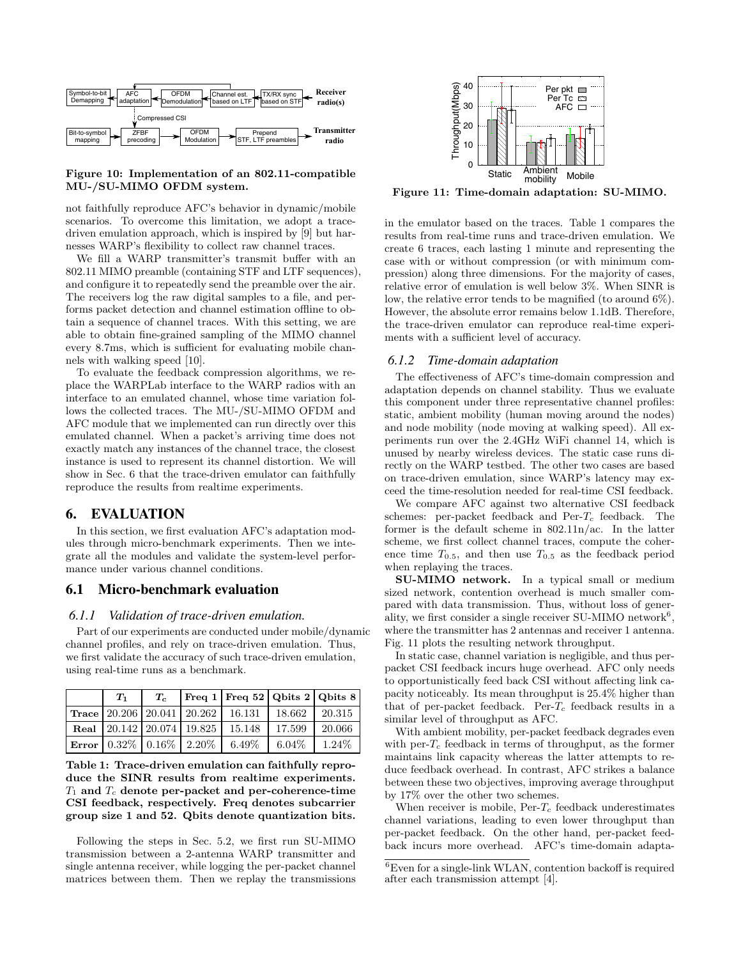

#### Figure 10: Implementation of an 802.11-compatible MU-/SU-MIMO OFDM system.

not faithfully reproduce AFC's behavior in dynamic/mobile scenarios. To overcome this limitation, we adopt a tracedriven emulation approach, which is inspired by [9] but harnesses WARP's flexibility to collect raw channel traces.

We fill a WARP transmitter's transmit buffer with an 802.11 MIMO preamble (containing STF and LTF sequences), and configure it to repeatedly send the preamble over the air. The receivers log the raw digital samples to a file, and performs packet detection and channel estimation offline to obtain a sequence of channel traces. With this setting, we are able to obtain fine-grained sampling of the MIMO channel every 8.7ms, which is sufficient for evaluating mobile channels with walking speed [10].

To evaluate the feedback compression algorithms, we replace the WARPLab interface to the WARP radios with an interface to an emulated channel, whose time variation follows the collected traces. The MU-/SU-MIMO OFDM and AFC module that we implemented can run directly over this emulated channel. When a packet's arriving time does not exactly match any instances of the channel trace, the closest instance is used to represent its channel distortion. We will show in Sec. 6 that the trace-driven emulator can faithfully reproduce the results from realtime experiments.

# 6. EVALUATION

In this section, we first evaluation AFC's adaptation modules through micro-benchmark experiments. Then we integrate all the modules and validate the system-level performance under various channel conditions.

#### 6.1 Micro-benchmark evaluation

#### 6.1.1 Validation of trace-driven emulation.

Part of our experiments are conducted under mobile/dynamic channel profiles, and rely on trace-driven emulation. Thus, we first validate the accuracy of such trace-driven emulation, using real-time runs as a benchmark.

| $T_1$ | $T_c$ | $ \text{Freq }1 \text{Freq }52 \text{Qbits }2 \text{Qbits }8 $                                          |        |        |
|-------|-------|---------------------------------------------------------------------------------------------------------|--------|--------|
|       |       | $\vert$ Trace $\vert$ 20.206 $\vert$ 20.041 $\vert$ 20.262 $\vert$ 16.131 $\vert$ 18.662 $\vert$ 20.315 |        |        |
|       |       | Real $\vert$ 20.142 $\vert$ 20.074 $\vert$ 19.825 $\vert$ 15.148                                        | 17.599 | 20.066 |
|       |       | <b>Error</b> $0.32\%$ $0.16\%$ $2.20\%$ 6.49% 6.04% 1.24%                                               |        |        |

Table 1: Trace-driven emulation can faithfully reproduce the SINR results from realtime experiments.  $T_1$  and  $T_c$  denote per-packet and per-coherence-time CSI feedback, respectively. Freq denotes subcarrier group size 1 and 52. Qbits denote quantization bits.

Following the steps in Sec. 5.2, we first run SU-MIMO transmission between a 2-antenna WARP transmitter and single antenna receiver, while logging the per-packet channel matrices between them. Then we replay the transmissions



Figure 11: Time-domain adaptation: SU-MIMO.

in the emulator based on the traces. Table 1 compares the results from real-time runs and trace-driven emulation. We create 6 traces, each lasting 1 minute and representing the case with or without compression (or with minimum compression) along three dimensions. For the majority of cases, relative error of emulation is well below 3%. When SINR is low, the relative error tends to be magnified (to around 6%). However, the absolute error remains below 1.1dB. Therefore, the trace-driven emulator can reproduce real-time experiments with a sufficient level of accuracy.

#### 6.1.2 Time-domain adaptation

The effectiveness of AFC's time-domain compression and adaptation depends on channel stability. Thus we evaluate this component under three representative channel profiles: static, ambient mobility (human moving around the nodes) and node mobility (node moving at walking speed). All experiments run over the 2.4GHz WiFi channel 14, which is unused by nearby wireless devices. The static case runs directly on the WARP testbed. The other two cases are based on trace-driven emulation, since WARP's latency may exceed the time-resolution needed for real-time CSI feedback.

We compare AFC against two alternative CSI feedback schemes: per-packet feedback and  $Per-T_c$  feedback. The former is the default scheme in 802.11n/ac. In the latter scheme, we first collect channel traces, compute the coherence time  $T_{0.5}$ , and then use  $T_{0.5}$  as the feedback period when replaying the traces.

SU-MIMO network. In a typical small or medium sized network, contention overhead is much smaller compared with data transmission. Thus, without loss of generality, we first consider a single receiver SU-MIMO network<sup>6</sup>, where the transmitter has 2 antennas and receiver 1 antenna. Fig. 11 plots the resulting network throughput.

In static case, channel variation is negligible, and thus perpacket CSI feedback incurs huge overhead. AFC only needs to opportunistically feed back CSI without affecting link capacity noticeably. Its mean throughput is 25.4% higher than that of per-packet feedback. Per- $T_c$  feedback results in a similar level of throughput as AFC.

With ambient mobility, per-packet feedback degrades even with per- $T_c$  feedback in terms of throughput, as the former maintains link capacity whereas the latter attempts to reduce feedback overhead. In contrast, AFC strikes a balance between these two objectives, improving average throughput by 17% over the other two schemes.

When receiver is mobile,  $Per-T_c$  feedback underestimates channel variations, leading to even lower throughput than per-packet feedback. On the other hand, per-packet feedback incurs more overhead. AFC's time-domain adapta-

 ${}^{6}$ Even for a single-link WLAN, contention backoff is required after each transmission attempt [4].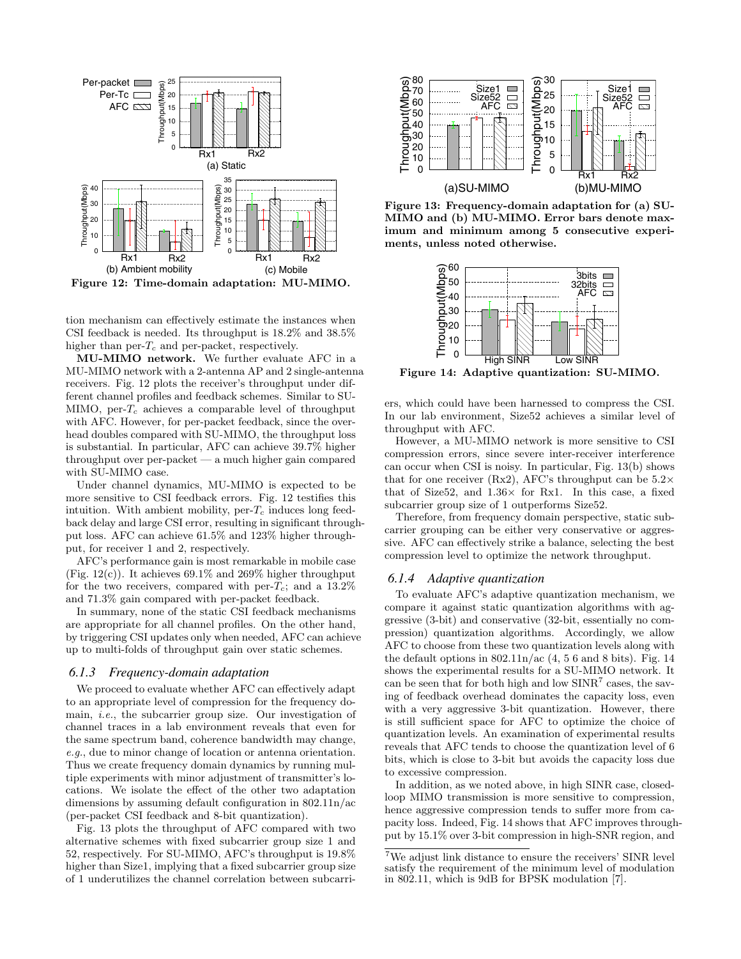

Figure 12: Time-domain adaptation: MU-MIMO.

tion mechanism can effectively estimate the instances when CSI feedback is needed. Its throughput is 18.2% and 38.5% higher than  $per-T_c$  and  $per-packet$ , respectively.

MU-MIMO network. We further evaluate AFC in a MU-MIMO network with a 2-antenna AP and 2 single-antenna receivers. Fig. 12 plots the receiver's throughput under different channel profiles and feedback schemes. Similar to SU-MIMO, per- $T_c$  achieves a comparable level of throughput with AFC. However, for per-packet feedback, since the overhead doubles compared with SU-MIMO, the throughput loss is substantial. In particular, AFC can achieve 39.7% higher throughput over per-packet — a much higher gain compared with SU-MIMO case.

Under channel dynamics, MU-MIMO is expected to be more sensitive to CSI feedback errors. Fig. 12 testifies this intuition. With ambient mobility,  $per-T_c$  induces long feedback delay and large CSI error, resulting in significant throughput loss. AFC can achieve 61.5% and 123% higher throughput, for receiver 1 and 2, respectively.

AFC's performance gain is most remarkable in mobile case (Fig. 12(c)). It achieves  $69.1\%$  and  $269\%$  higher throughput for the two receivers, compared with per- $T_c$ ; and a 13.2% and 71.3% gain compared with per-packet feedback.

In summary, none of the static CSI feedback mechanisms are appropriate for all channel profiles. On the other hand, by triggering CSI updates only when needed, AFC can achieve up to multi-folds of throughput gain over static schemes.

## 6.1.3 Frequency-domain adaptation

We proceed to evaluate whether AFC can effectively adapt to an appropriate level of compression for the frequency domain, i.e., the subcarrier group size. Our investigation of channel traces in a lab environment reveals that even for the same spectrum band, coherence bandwidth may change, e.g., due to minor change of location or antenna orientation. Thus we create frequency domain dynamics by running multiple experiments with minor adjustment of transmitter's locations. We isolate the effect of the other two adaptation dimensions by assuming default configuration in 802.11n/ac (per-packet CSI feedback and 8-bit quantization).

Fig. 13 plots the throughput of AFC compared with two alternative schemes with fixed subcarrier group size 1 and 52, respectively. For SU-MIMO, AFC's throughput is 19.8% higher than Size1, implying that a fixed subcarrier group size of 1 underutilizes the channel correlation between subcarri-



Figure 13: Frequency-domain adaptation for (a) SU-MIMO and (b) MU-MIMO. Error bars denote maximum and minimum among 5 consecutive experiments, unless noted otherwise.



Figure 14: Adaptive quantization: SU-MIMO.

ers, which could have been harnessed to compress the CSI. In our lab environment, Size52 achieves a similar level of throughput with AFC.

However, a MU-MIMO network is more sensitive to CSI compression errors, since severe inter-receiver interference can occur when CSI is noisy. In particular, Fig. 13(b) shows that for one receiver (Rx2), AFC's throughput can be  $5.2\times$ that of Size52, and  $1.36\times$  for Rx1. In this case, a fixed subcarrier group size of 1 outperforms Size52.

Therefore, from frequency domain perspective, static subcarrier grouping can be either very conservative or aggressive. AFC can effectively strike a balance, selecting the best compression level to optimize the network throughput.

## 6.1.4 Adaptive quantization

To evaluate AFC's adaptive quantization mechanism, we compare it against static quantization algorithms with aggressive (3-bit) and conservative (32-bit, essentially no compression) quantization algorithms. Accordingly, we allow AFC to choose from these two quantization levels along with the default options in  $802.11n/ac$  (4, 5 6 and 8 bits). Fig. 14 shows the experimental results for a SU-MIMO network. It can be seen that for both high and low  $SINR<sup>7</sup>$  cases, the saving of feedback overhead dominates the capacity loss, even with a very aggressive 3-bit quantization. However, there is still sufficient space for AFC to optimize the choice of quantization levels. An examination of experimental results reveals that AFC tends to choose the quantization level of 6 bits, which is close to 3-bit but avoids the capacity loss due to excessive compression.

In addition, as we noted above, in high SINR case, closedloop MIMO transmission is more sensitive to compression, hence aggressive compression tends to suffer more from capacity loss. Indeed, Fig. 14 shows that AFC improves throughput by 15.1% over 3-bit compression in high-SNR region, and

 ${\rm ^7We}$  adjust link distance to ensure the receivers' SINR level satisfy the requirement of the minimum level of modulation in 802.11, which is 9dB for BPSK modulation [7].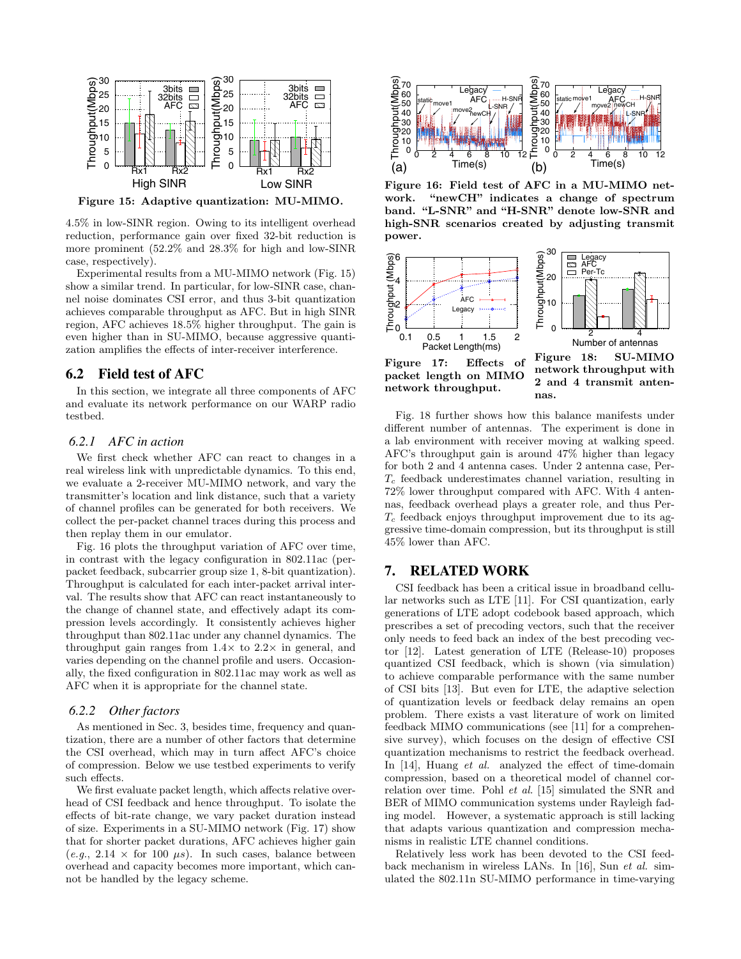

Figure 15: Adaptive quantization: MU-MIMO.

4.5% in low-SINR region. Owing to its intelligent overhead reduction, performance gain over fixed 32-bit reduction is more prominent (52.2% and 28.3% for high and low-SINR case, respectively).

Experimental results from a MU-MIMO network (Fig. 15) show a similar trend. In particular, for low-SINR case, channel noise dominates CSI error, and thus 3-bit quantization achieves comparable throughput as AFC. But in high SINR region, AFC achieves 18.5% higher throughput. The gain is even higher than in SU-MIMO, because aggressive quantization amplifies the effects of inter-receiver interference.

# 6.2 Field test of AFC

In this section, we integrate all three components of AFC and evaluate its network performance on our WARP radio testbed.

## 6.2.1 AFC in action

We first check whether AFC can react to changes in a real wireless link with unpredictable dynamics. To this end, we evaluate a 2-receiver MU-MIMO network, and vary the transmitter's location and link distance, such that a variety of channel profiles can be generated for both receivers. We collect the per-packet channel traces during this process and then replay them in our emulator.

Fig. 16 plots the throughput variation of AFC over time, in contrast with the legacy configuration in 802.11ac (perpacket feedback, subcarrier group size 1, 8-bit quantization). Throughput is calculated for each inter-packet arrival interval. The results show that AFC can react instantaneously to the change of channel state, and effectively adapt its compression levels accordingly. It consistently achieves higher throughput than 802.11ac under any channel dynamics. The throughput gain ranges from  $1.4\times$  to  $2.2\times$  in general, and varies depending on the channel profile and users. Occasionally, the fixed configuration in 802.11ac may work as well as AFC when it is appropriate for the channel state.

#### 6.2.2 Other factors

As mentioned in Sec. 3, besides time, frequency and quantization, there are a number of other factors that determine the CSI overhead, which may in turn affect AFC's choice of compression. Below we use testbed experiments to verify such effects.

We first evaluate packet length, which affects relative overhead of CSI feedback and hence throughput. To isolate the effects of bit-rate change, we vary packet duration instead of size. Experiments in a SU-MIMO network (Fig. 17) show that for shorter packet durations, AFC achieves higher gain  $(e.g., 2.14 \times$  for 100  $\mu s$ ). In such cases, balance between overhead and capacity becomes more important, which cannot be handled by the legacy scheme.



Figure 16: Field test of AFC in a MU-MIMO network. "newCH" indicates a change of spectrum band. "L-SNR" and "H-SNR" denote low-SNR and high-SNR scenarios created by adjusting transmit power.



Fig. 18 further shows how this balance manifests under different number of antennas. The experiment is done in a lab environment with receiver moving at walking speed. AFC's throughput gain is around 47% higher than legacy for both 2 and 4 antenna cases. Under 2 antenna case, Per- $T_c$  feedback underestimates channel variation, resulting in 72% lower throughput compared with AFC. With 4 antennas, feedback overhead plays a greater role, and thus Per- $T_c$  feedback enjoys throughput improvement due to its aggressive time-domain compression, but its throughput is still 45% lower than AFC.

# 7. RELATED WORK

CSI feedback has been a critical issue in broadband cellular networks such as LTE [11]. For CSI quantization, early generations of LTE adopt codebook based approach, which prescribes a set of precoding vectors, such that the receiver only needs to feed back an index of the best precoding vector [12]. Latest generation of LTE (Release-10) proposes quantized CSI feedback, which is shown (via simulation) to achieve comparable performance with the same number of CSI bits [13]. But even for LTE, the adaptive selection of quantization levels or feedback delay remains an open problem. There exists a vast literature of work on limited feedback MIMO communications (see [11] for a comprehensive survey), which focuses on the design of effective CSI quantization mechanisms to restrict the feedback overhead. In [14], Huang et al. analyzed the effect of time-domain compression, based on a theoretical model of channel correlation over time. Pohl et al. [15] simulated the SNR and BER of MIMO communication systems under Rayleigh fading model. However, a systematic approach is still lacking that adapts various quantization and compression mechanisms in realistic LTE channel conditions.

Relatively less work has been devoted to the CSI feedback mechanism in wireless LANs. In [16], Sun et al. simulated the 802.11n SU-MIMO performance in time-varying